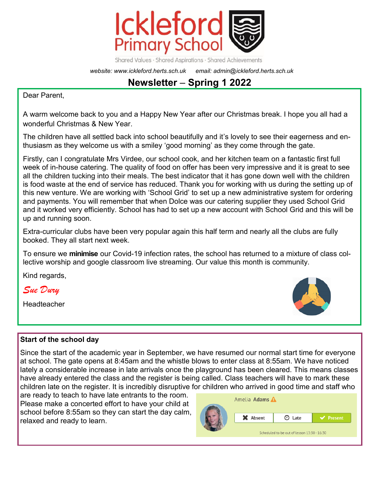

Shared Values · Shared Aspirations · Shared Achievements

*website: www.ickleford.herts.sch.uk email: admin@ickleford.herts.sch.uk*

# **Newsletter** – **Spring 1 2022**

Dear Parent,

A warm welcome back to you and a Happy New Year after our Christmas break. I hope you all had a wonderful Christmas & New Year.

The children have all settled back into school beautifully and it's lovely to see their eagerness and enthusiasm as they welcome us with a smiley 'good morning' as they come through the gate.

Firstly, can I congratulate Mrs Virdee, our school cook, and her kitchen team on a fantastic first full week of in-house catering. The quality of food on offer has been very impressive and it is great to see all the children tucking into their meals. The best indicator that it has gone down well with the children is food waste at the end of service has reduced. Thank you for working with us during the setting up of this new venture. We are working with 'School Grid' to set up a new administrative system for ordering and payments. You will remember that when Dolce was our catering supplier they used School Grid and it worked very efficiently. School has had to set up a new account with School Grid and this will be up and running soon.

Extra-curricular clubs have been very popular again this half term and nearly all the clubs are fully booked. They all start next week.

To ensure we **minimise** our Covid-19 infection rates, the school has returned to a mixture of class collective worship and google classroom live streaming. Our value this month is community.

Kind regards,

*Sue Dury* 

Headteacher



## **Start of the school day**

Since the start of the academic year in September, we have resumed our normal start time for everyone at school. The gate opens at 8:45am and the whistle blows to enter class at 8:55am. We have noticed lately a considerable increase in late arrivals once the playground has been cleared. This means classes have already entered the class and the register is being called. Class teachers will have to mark these children late on the register. It is incredibly disruptive for children who arrived in good time and staff who

are ready to teach to have late entrants to the room. Please make a concerted effort to have your child at school before 8:55am so they can start the day calm, relaxed and ready to learn.

|  | Amelia <b>Adams</b>                         |                                                                       |                |
|--|---------------------------------------------|-----------------------------------------------------------------------|----------------|
|  | X Absent                                    | Late<br>$\left( \begin{smallmatrix} 1 \\ 2 \end{smallmatrix} \right)$ | $\vee$ Present |
|  | Scheduled to be out of lesson 13:30 - 16:30 |                                                                       |                |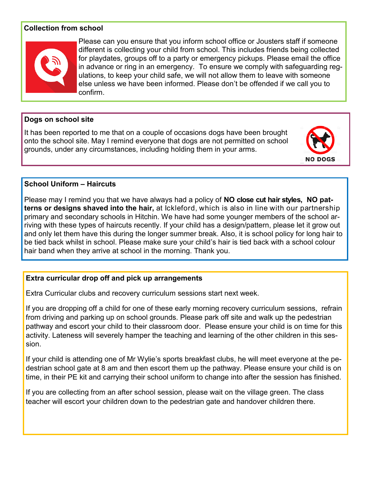## **Collection from school**



Please can you ensure that you inform school office or Jousters staff if someone different is collecting your child from school. This includes friends being collected for playdates, groups off to a party or emergency pickups. Please email the office in advance or ring in an emergency. To ensure we comply with safeguarding regulations, to keep your child safe, we will not allow them to leave with someone else unless we have been informed. Please don't be offended if we call you to confirm.

#### **Dogs on school site**

It has been reported to me that on a couple of occasions dogs have been brought onto the school site. May I remind everyone that dogs are not permitted on school grounds, under any circumstances, including holding them in your arms.



## **School Uniform – Haircuts**

Please may I remind you that we have always had a policy of **NO close cut hair styles, NO patterns or designs shaved into the hair,** at Ickleford, which is also in line with our partnership primary and secondary schools in Hitchin. We have had some younger members of the school arriving with these types of haircuts recently. If your child has a design/pattern, please let it grow out and only let them have this during the longer summer break. Also, it is school policy for long hair to be tied back whilst in school. Please make sure your child's hair is tied back with a school colour hair band when they arrive at school in the morning. Thank you.

### **Extra curricular drop off and pick up arrangements**

Extra Curricular clubs and recovery curriculum sessions start next week.

If you are dropping off a child for one of these early morning recovery curriculum sessions, refrain from driving and parking up on school grounds. Please park off site and walk up the pedestrian pathway and escort your child to their classroom door. Please ensure your child is on time for this activity. Lateness will severely hamper the teaching and learning of the other children in this session.

If your child is attending one of Mr Wylie's sports breakfast clubs, he will meet everyone at the pedestrian school gate at 8 am and then escort them up the pathway. Please ensure your child is on time, in their PE kit and carrying their school uniform to change into after the session has finished.

If you are collecting from an after school session, please wait on the village green. The class teacher will escort your children down to the pedestrian gate and handover children there.